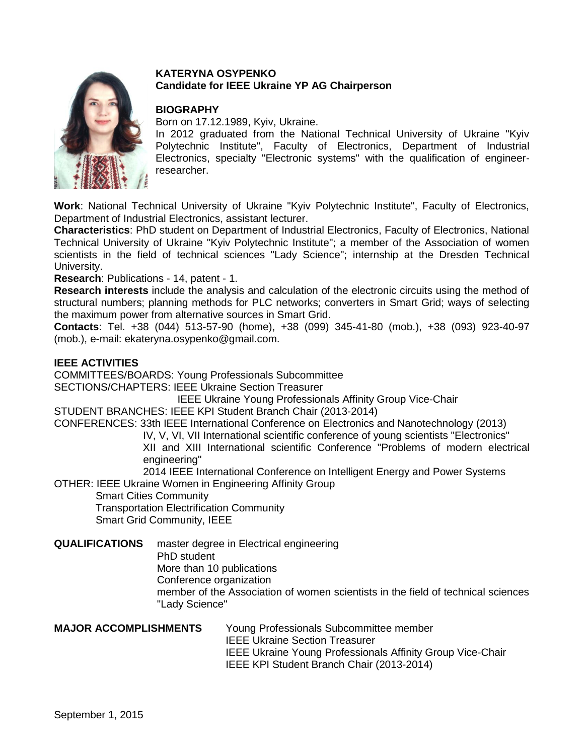

## **KATERYNA OSYPENKO Candidate for IEEE Ukraine YP AG Chairperson**

# **BIOGRAPHY**

Born on 17.12.1989, Kyiv, Ukraine.

In 2012 graduated from the National Technical University of Ukraine "Kyiv Polytechnic Institute", Faculty of Electronics, Department of Industrial Electronics, specialty "Electronic systems" with the qualification of engineerresearcher.

**Work**: National Technical University of Ukraine "Kyiv Polytechnic Institute", Faculty of Electronics, Department of Industrial Electronics, assistant lecturer.

**Characteristics**: PhD student on Department of Industrial Electronics, Faculty of Electronics, National Technical University of Ukraine "Kyiv Polytechnic Institute"; a member of the Association of women scientists in the field of technical sciences "Lady Science"; internship at the Dresden Technical University.

**Research**: Publications - 14, patent - 1.

**Research interests** include the analysis and calculation of the electronic circuits using the method of structural numbers; planning methods for PLC networks; converters in Smart Grid; ways of selecting the maximum power from alternative sources in Smart Grid.

**Contacts**: Tel. +38 (044) 513-57-90 (home), +38 (099) 345-41-80 (mob.), +38 (093) 923-40-97 (mob.), e-mail: ekateryna.osypenko@gmail.com.

## **IEEE ACTIVITIES**

COMMITTEES/BOARDS: Young Professionals Subcommittee SECTIONS/CHAPTERS: IEEE Ukraine Section Treasurer

IEEE Ukraine Young Professionals Affinity Group Vice-Chair

STUDENT BRANCHES: IEEE KPI Student Branch Chair (2013-2014)

CONFERENCES: 33th IEEE International Conference on Electronics and Nanotechnology (2013)

 IV, V, VI, VII International scientific conference of young scientists "Electronics" XII and XIII International scientific Conference "Problems of modern electrical

engineering"

 2014 IEEE International Conference on Intelligent Energy and Power Systems OTHER: IEEE Ukraine Women in Engineering Affinity Group

Smart Cities Community

Transportation Electrification Community

Smart Grid Community, IEEE

**QUALIFICATIONS** master degree in Electrical engineering

PhD student

More than 10 publications

Conference organization

member of the Association of women scientists in the field of technical sciences "Lady Science"

**MAJOR ACCOMPLISHMENTS** Young Professionals Subcommittee member IEEE Ukraine Section Treasurer IEEE Ukraine Young Professionals Affinity Group Vice-Chair IEEE KPI Student Branch Chair (2013-2014)